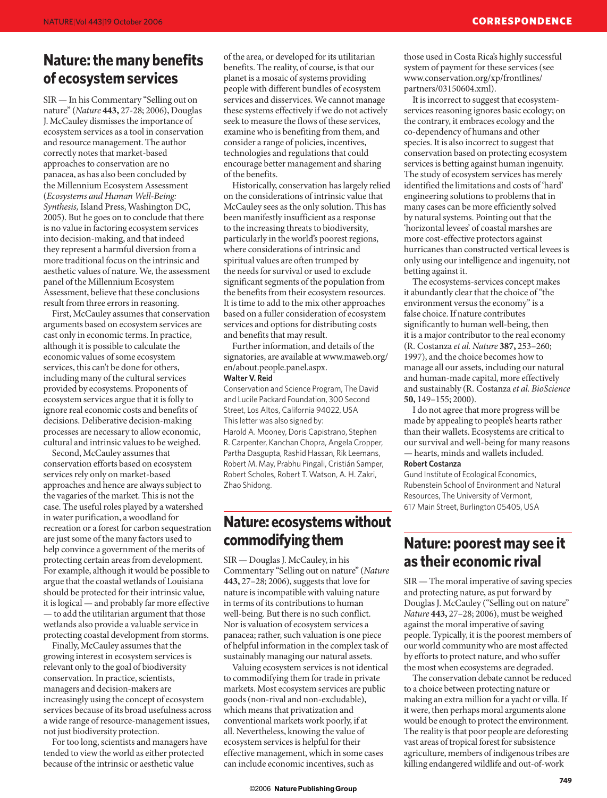# **Nature: the many benefits of ecosystem services**

SIR — In his Commentary "Selling out on nature" (*Nature* **443,** 27-28; 2006), Douglas J. McCauley dismisses the importance of ecosystem services as a tool in conservation and resource management. The author correctly notes that market-based approaches to conservation are no panacea, as has also been concluded by the Millennium Ecosystem Assessment (*Ecosystems and Human Well-Being: Synthesis,* Island Press, Washington DC, 2005). But he goes on to conclude that there is no value in factoring ecosystem services into decision-making, and that indeed they represent a harmful diversion from a more traditional focus on the intrinsic and aesthetic values of nature. We, the assessment panel of the Millennium Ecosystem Assessment, believe that these conclusions result from three errors in reasoning.

First, McCauley assumes that conservation arguments based on ecosystem services are cast only in economic terms. In practice, although it is possible to calculate the economic values of some ecosystem services, this can't be done for others, including many of the cultural services provided by ecosystems. Proponents of ecosystem services argue that it is folly to ignore real economic costs and benefits of decisions. Deliberative decision-making processes are necessary to allow economic, cultural and intrinsic values to be weighed.

Second, McCauley assumes that conservation efforts based on ecosystem services rely only on market-based approaches and hence are always subject to the vagaries of the market. This is not the case. The useful roles played by a watershed in water purification, a woodland for recreation or a forest for carbon sequestration are just some of the many factors used to help convince a government of the merits of protecting certain areas from development. For example, although it would be possible to argue that the coastal wetlands of Louisiana should be protected for their intrinsic value, it is logical — and probably far more effective — to add the utilitarian argument that those wetlands also provide a valuable service in protecting coastal development from storms.

Finally, McCauley assumes that the growing interest in ecosystem services is relevant only to the goal of biodiversity conservation. In practice, scientists, managers and decision-makers are increasingly using the concept of ecosystem services because of its broad usefulness across a wide range of resource-management issues, not just biodiversity protection.

For too long, scientists and managers have tended to view the world as either protected because of the intrinsic or aesthetic value

of the area, or developed for its utilitarian benefits. The reality, of course, is that our planet is a mosaic of systems providing people with different bundles of ecosystem services and disservices. We cannot manage these systems effectively if we do not actively seek to measure the flows of these services, examine who is benefiting from them, and consider a range of policies, incentives, technologies and regulations that could encourage better management and sharing of the benefits.

Historically, conservation has largely relied on the considerations of intrinsic value that McCauley sees as the only solution. This has been manifestly insufficient as a response to the increasing threats to biodiversity, particularly in the world's poorest regions, where considerations of intrinsic and spiritual values are often trumped by the needs for survival or used to exclude significant segments of the population from the benefits from their ecosystem resources. It is time to add to the mix other approaches based on a fuller consideration of ecosystem services and options for distributing costs and benefits that may result.

Further information, and details of the signatories, are available at www.maweb.org/ en/about.people.panel.aspx. **Walter V. Reid**

Conservation and Science Program, The David and Lucile Packard Foundation, 300 Second Street, Los Altos, California 94022, USA This letter was also signed by: Harold A. Mooney, Doris Capistrano, Stephen R. Carpenter, Kanchan Chopra, Angela Cropper, Partha Dasgupta, Rashid Hassan, Rik Leemans, Robert M. May, Prabhu Pingali, Cristián Samper, Robert Scholes, Robert T. Watson, A. H. Zakri, Zhao Shidong.

# **Nature: ecosystems without commodifying them**

SIR — Douglas J. McCauley, in his Commentary "Selling out on nature" (*Nature* **443,** 27–28; 2006), suggests that love for nature is incompatible with valuing nature in terms of its contributions to human well-being. But there is no such conflict. Nor is valuation of ecosystem services a panacea; rather, such valuation is one piece of helpful information in the complex task of sustainably managing our natural assets.

Valuing ecosystem services is not identical to commodifying them for trade in private markets. Most ecosystem services are public goods (non-rival and non-excludable), which means that privatization and conventional markets work poorly, if at all. Nevertheless, knowing the value of ecosystem services is helpful for their effective management, which in some cases can include economic incentives, such as

those used in Costa Rica's highly successful system of payment for these services (see www.conservation.org/xp/frontlines/ partners/03150604.xml).

It is incorrect to suggest that ecosystemservices reasoning ignores basic ecology; on the contrary, it embraces ecology and the co-dependency of humans and other species. It is also incorrect to suggest that conservation based on protecting ecosystem services is betting against human ingenuity. The study of ecosystem services has merely identified the limitations and costs of 'hard' engineering solutions to problems that in many cases can be more efficiently solved by natural systems. Pointing out that the 'horizontal levees' of coastal marshes are more cost-effective protectors against hurricanes than constructed vertical levees is only using our intelligence and ingenuity, not betting against it.

The ecosystems-services concept makes it abundantly clear that the choice of "the environment versus the economy" is a false choice. If nature contributes significantly to human well-being, then it is a major contributor to the real economy (R. Costanza *et al. Nature* **387,** 253–260; 1997), and the choice becomes how to manage all our assets, including our natural and human-made capital, more effectively and sustainably (R. Costanza *et al. BioScience* **50,** 149–155; 2000).

I do not agree that more progress will be made by appealing to people's hearts rather than their wallets. Ecosystems are critical to our survival and well-being for many reasons — hearts, minds and wallets included. **Robert Costanza**

Gund Institute of Ecological Economics, Rubenstein School of Environment and Natural Resources, The University of Vermont, 617 Main Street, Burlington 05405, USA

# **Nature: poorest may see it as their economic rival**

SIR — The moral imperative of saving species and protecting nature, as put forward by Douglas J. McCauley ("Selling out on nature" *Nature* **443,** 27–28; 2006), must be weighed against the moral imperative of saving people. Typically, it is the poorest members of our world community who are most affected by efforts to protect nature, and who suffer the most when ecosystems are degraded.

The conservation debate cannot be reduced to a choice between protecting nature or making an extra million for a yacht or villa. If it were, then perhaps moral arguments alone would be enough to protect the environment. The reality is that poor people are deforesting vast areas of tropical forest for subsistence agriculture, members of indigenous tribes are killing endangered wildlife and out-of-work